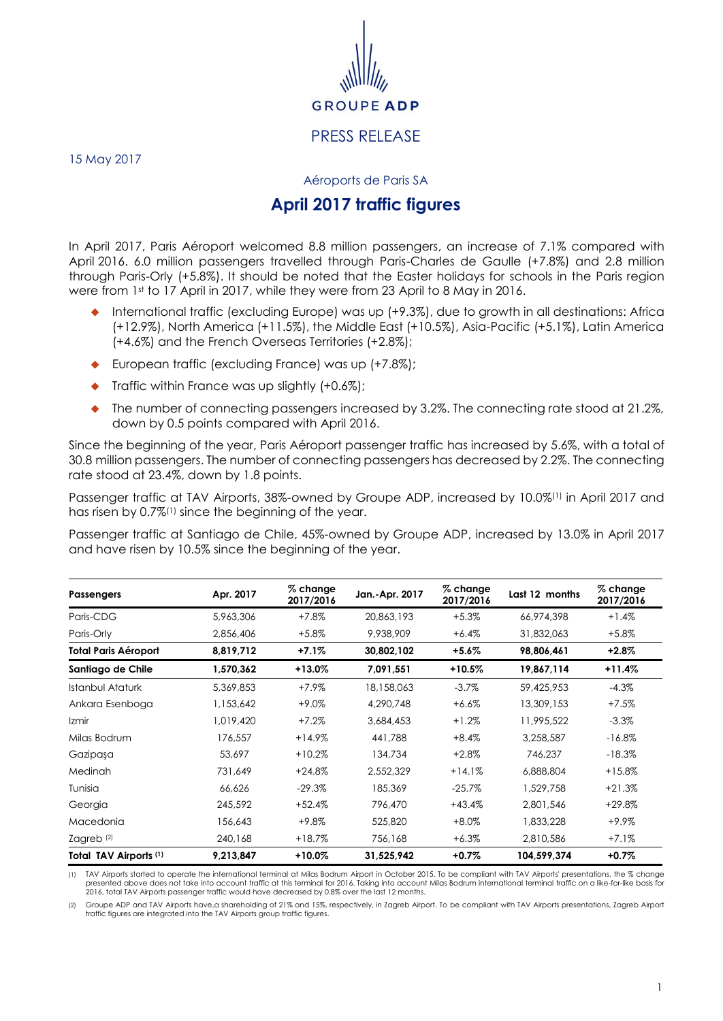

15 May 2017

Aéroports de Paris SA

## **April 2017 traffic figures**

In April 2017, Paris Aéroport welcomed 8.8 million passengers, an increase of 7.1% compared with April 2016. 6.0 million passengers travelled through Paris-Charles de Gaulle (+7.8%) and 2.8 million through Paris-Orly (+5.8%). It should be noted that the Easter holidays for schools in the Paris region were from 1st to 17 April in 2017, while they were from 23 April to 8 May in 2016.

- International traffic (excluding Europe) was up (+9.3%), due to growth in all destinations: Africa (+12.9%), North America (+11.5%), the Middle East (+10.5%), Asia-Pacific (+5.1%), Latin America (+4.6%) and the French Overseas Territories (+2.8%);
- European traffic (excluding France) was up (+7.8%);
- $\blacklozenge$  Traffic within France was up slightly (+0.6%);
- The number of connecting passengers increased by 3.2%. The connecting rate stood at 21.2%, down by 0.5 points compared with April 2016.

Since the beginning of the year, Paris Aéroport passenger traffic has increased by 5.6%, with a total of 30.8 million passengers. The number of connecting passengers has decreased by 2.2%. The connecting rate stood at 23.4%, down by 1.8 points.

Passenger traffic at TAV Airports, 38%-owned by Groupe ADP, increased by 10.0%(1) in April 2017 and has risen by 0.7%<sup>(1)</sup> since the beginning of the year.

Passenger traffic at Santiago de Chile, 45%-owned by Groupe ADP, increased by 13.0% in April 2017 and have risen by 10.5% since the beginning of the year.

| <b>Passengers</b>           | Apr. 2017 | % change<br>2017/2016 | Jan.-Apr. 2017 | $%$ change<br>2017/2016 | Last 12 months | $%$ change<br>2017/2016 |
|-----------------------------|-----------|-----------------------|----------------|-------------------------|----------------|-------------------------|
| Paris-CDG                   | 5,963,306 | $+7.8%$               | 20,863,193     | $+5.3%$                 | 66,974,398     | $+1.4%$                 |
| Paris-Orly                  | 2,856,406 | $+5.8\%$              | 9,938,909      | $+6.4%$                 | 31,832,063     | $+5.8\%$                |
| <b>Total Paris Aéroport</b> | 8,819,712 | $+7.1%$               | 30,802,102     | +5.6%                   | 98,806,461     | $+2.8\%$                |
| Santiago de Chile           | 1,570,362 | +13.0%                | 7,091,551      | $+10.5%$                | 19,867,114     | $+11.4%$                |
| Istanbul Ataturk            | 5,369,853 | $+7.9%$               | 18,158,063     | $-3.7%$                 | 59,425,953     | $-4.3%$                 |
| Ankara Esenboga             | 1,153,642 | $+9.0%$               | 4,290,748      | $+6.6%$                 | 13,309,153     | $+7.5%$                 |
| Izmir                       | 1,019,420 | $+7.2%$               | 3,684,453      | $+1.2%$                 | 11,995,522     | $-3.3%$                 |
| Milas Bodrum                | 176,557   | $+14.9%$              | 441,788        | $+8.4%$                 | 3,258,587      | $-16.8%$                |
| Gazipaşa                    | 53,697    | $+10.2%$              | 134,734        | $+2.8%$                 | 746,237        | $-18.3%$                |
| <b>Medinah</b>              | 731.649   | $+24.8%$              | 2,552,329      | $+14.1%$                | 6,888,804      | $+15.8%$                |
| Tunisia                     | 66,626    | $-29.3%$              | 185,369        | $-25.7%$                | 1,529,758      | $+21.3%$                |
| Georgia                     | 245,592   | $+52.4%$              | 796,470        | $+43.4%$                | 2,801,546      | $+29.8%$                |
| Macedonia                   | 156,643   | $+9.8\%$              | 525,820        | $+8.0\%$                | 1,833,228      | $+9.9\%$                |
| Zagreb $(2)$                | 240,168   | $+18.7%$              | 756,168        | $+6.3%$                 | 2,810,586      | $+7.1%$                 |
| Total TAV Airports (1)      | 9,213,847 | +10.0%                | 31,525,942     | $+0.7%$                 | 104,599,374    | $+0.7%$                 |

TAV Airports started to operate the international terminal at Milas Bodrum Airport in October 2015. To be compliant with TAV Airports' presentations, the % change presented above does not take into account traffic at this 2016, total TAV Airports passenger traffic would have decreased by 0.8% over the last 12 months.

(2) Groupe ADP and TAV Airports have,a shareholding of 21% and 15%, respectively, in Zagreb Airport. To be compliant with TAV Airports presentations, Zagreb Airport traffic figures are integrated into the TAV Airports group traffic figures.